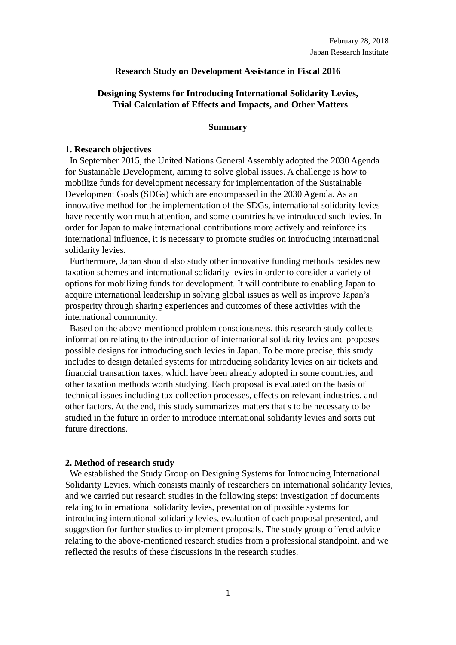# **Research Study on Development Assistance in Fiscal 2016**

# **Designing Systems for Introducing International Solidarity Levies, Trial Calculation of Effects and Impacts, and Other Matters**

#### **Summary**

### **1. Research objectives**

In September 2015, the United Nations General Assembly adopted the 2030 Agenda for Sustainable Development, aiming to solve global issues. A challenge is how to mobilize funds for development necessary for implementation of the Sustainable Development Goals (SDGs) which are encompassed in the 2030 Agenda. As an innovative method for the implementation of the SDGs, international solidarity levies have recently won much attention, and some countries have introduced such levies. In order for Japan to make international contributions more actively and reinforce its international influence, it is necessary to promote studies on introducing international solidarity levies.

Furthermore, Japan should also study other innovative funding methods besides new taxation schemes and international solidarity levies in order to consider a variety of options for mobilizing funds for development. It will contribute to enabling Japan to acquire international leadership in solving global issues as well as improve Japan's prosperity through sharing experiences and outcomes of these activities with the international community.

Based on the above-mentioned problem consciousness, this research study collects information relating to the introduction of international solidarity levies and proposes possible designs for introducing such levies in Japan. To be more precise, this study includes to design detailed systems for introducing solidarity levies on air tickets and financial transaction taxes, which have been already adopted in some countries, and other taxation methods worth studying. Each proposal is evaluated on the basis of technical issues including tax collection processes, effects on relevant industries, and other factors. At the end, this study summarizes matters that s to be necessary to be studied in the future in order to introduce international solidarity levies and sorts out future directions.

# **2. Method of research study**

We established the Study Group on Designing Systems for Introducing International Solidarity Levies, which consists mainly of researchers on international solidarity levies, and we carried out research studies in the following steps: investigation of documents relating to international solidarity levies, presentation of possible systems for introducing international solidarity levies, evaluation of each proposal presented, and suggestion for further studies to implement proposals. The study group offered advice relating to the above-mentioned research studies from a professional standpoint, and we reflected the results of these discussions in the research studies.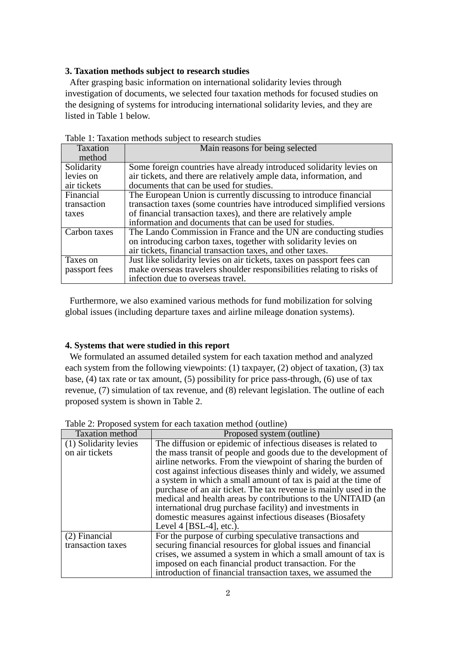# **3. Taxation methods subject to research studies**

After grasping basic information on international solidarity levies through investigation of documents, we selected four taxation methods for focused studies on the designing of systems for introducing international solidarity levies, and they are listed in Table 1 below.

|               | raole 1. Tanahon memodo suojeet to researen stadies                    |  |  |  |
|---------------|------------------------------------------------------------------------|--|--|--|
| Taxation      | Main reasons for being selected                                        |  |  |  |
| method        |                                                                        |  |  |  |
| Solidarity    | Some foreign countries have already introduced solidarity levies on    |  |  |  |
| levies on     | air tickets, and there are relatively ample data, information, and     |  |  |  |
| air tickets   | documents that can be used for studies.                                |  |  |  |
| Financial     | The European Union is currently discussing to introduce financial      |  |  |  |
| transaction   | transaction taxes (some countries have introduced simplified versions) |  |  |  |
| taxes         | of financial transaction taxes), and there are relatively ample        |  |  |  |
|               | information and documents that can be used for studies.                |  |  |  |
| Carbon taxes  | The Lando Commission in France and the UN are conducting studies       |  |  |  |
|               | on introducing carbon taxes, together with solidarity levies on        |  |  |  |
|               | air tickets, financial transaction taxes, and other taxes.             |  |  |  |
| Taxes on      | Just like solidarity levies on air tickets, taxes on passport fees can |  |  |  |
| passport fees | make overseas travelers shoulder responsibilities relating to risks of |  |  |  |
|               | infection due to overseas travel.                                      |  |  |  |

Table 1: Taxation methods subject to research studies

Furthermore, we also examined various methods for fund mobilization for solving global issues (including departure taxes and airline mileage donation systems).

#### **4. Systems that were studied in this report**

We formulated an assumed detailed system for each taxation method and analyzed each system from the following viewpoints: (1) taxpayer, (2) object of taxation, (3) tax base, (4) tax rate or tax amount, (5) possibility for price pass-through, (6) use of tax revenue, (7) simulation of tax revenue, and (8) relevant legislation. The outline of each proposed system is shown in Table 2.

| <b>Taxation</b> method             | Proposed system (outline)                                                                                                                                                                                                                                                                                                                                                                                                                                                                                                                                      |
|------------------------------------|----------------------------------------------------------------------------------------------------------------------------------------------------------------------------------------------------------------------------------------------------------------------------------------------------------------------------------------------------------------------------------------------------------------------------------------------------------------------------------------------------------------------------------------------------------------|
| $\overline{(1)}$ Solidarity levies | The diffusion or epidemic of infectious diseases is related to                                                                                                                                                                                                                                                                                                                                                                                                                                                                                                 |
| on air tickets                     | the mass transit of people and goods due to the development of<br>airline networks. From the viewpoint of sharing the burden of<br>cost against infectious diseases thinly and widely, we assumed<br>a system in which a small amount of tax is paid at the time of<br>purchase of an air ticket. The tax revenue is mainly used in the<br>medical and health areas by contributions to the UNITAID (an<br>international drug purchase facility) and investments in<br>domestic measures against infectious diseases (Biosafety)<br>Level 4 $[BSL-4]$ , etc.). |
| (2) Financial                      | For the purpose of curbing speculative transactions and                                                                                                                                                                                                                                                                                                                                                                                                                                                                                                        |
| transaction taxes                  | securing financial resources for global issues and financial                                                                                                                                                                                                                                                                                                                                                                                                                                                                                                   |
|                                    | crises, we assumed a system in which a small amount of tax is                                                                                                                                                                                                                                                                                                                                                                                                                                                                                                  |
|                                    | imposed on each financial product transaction. For the                                                                                                                                                                                                                                                                                                                                                                                                                                                                                                         |
|                                    | introduction of financial transaction taxes, we assumed the                                                                                                                                                                                                                                                                                                                                                                                                                                                                                                    |

Table 2: Proposed system for each taxation method (outline)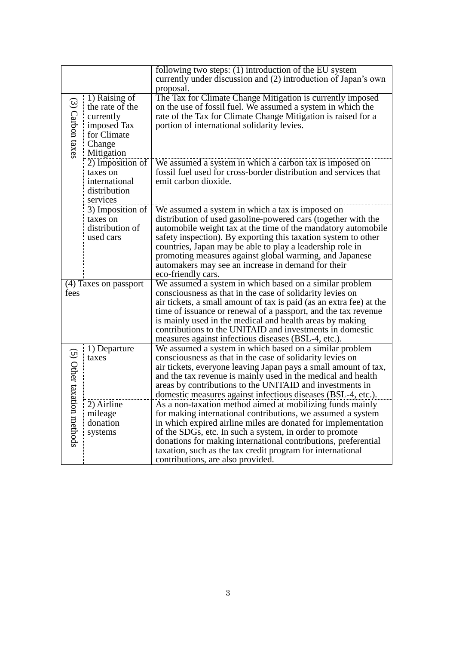|                                |                                                                                                     | following two steps: $(1)$ introduction of the EU system<br>currently under discussion and (2) introduction of Japan's own<br>proposal.                                                                                                                                                                                                                                                                                                                  |
|--------------------------------|-----------------------------------------------------------------------------------------------------|----------------------------------------------------------------------------------------------------------------------------------------------------------------------------------------------------------------------------------------------------------------------------------------------------------------------------------------------------------------------------------------------------------------------------------------------------------|
| $(3)$ Carbon taxes             | 1) Raising of<br>the rate of the<br>currently<br>imposed Tax<br>for Climate<br>Change<br>Mitigation | The Tax for Climate Change Mitigation is currently imposed<br>on the use of fossil fuel. We assumed a system in which the<br>rate of the Tax for Climate Change Mitigation is raised for a<br>portion of international solidarity levies.                                                                                                                                                                                                                |
|                                | 2) Imposition of<br>taxes on<br>international<br>distribution<br>services                           | We assumed a system in which a carbon tax is imposed on<br>fossil fuel used for cross-border distribution and services that<br>emit carbon dioxide.                                                                                                                                                                                                                                                                                                      |
|                                | 3) Imposition of<br>taxes on<br>distribution of<br>used cars                                        | We assumed a system in which a tax is imposed on<br>distribution of used gasoline-powered cars (together with the<br>automobile weight tax at the time of the mandatory automobile<br>safety inspection). By exporting this taxation system to other<br>countries, Japan may be able to play a leadership role in<br>promoting measures against global warming, and Japanese<br>automakers may see an increase in demand for their<br>eco-friendly cars. |
| fees                           | (4) Taxes on passport                                                                               | We assumed a system in which based on a similar problem<br>consciousness as that in the case of solidarity levies on<br>air tickets, a small amount of tax is paid (as an extra fee) at the<br>time of issuance or renewal of a passport, and the tax revenue<br>is mainly used in the medical and health areas by making<br>contributions to the UNITAID and investments in domestic<br>measures against infectious diseases (BSL-4, etc.).             |
| (5) Other taxatic<br>n methods | 1) Departure<br>taxes                                                                               | We assumed a system in which based on a similar problem<br>consciousness as that in the case of solidarity levies on<br>air tickets, everyone leaving Japan pays a small amount of tax,<br>and the tax revenue is mainly used in the medical and health<br>areas by contributions to the UNITAID and investments in<br>domestic measures against infectious diseases (BSL-4, etc.).                                                                      |
|                                | 2) Airline<br>mileage<br>donation<br>systems                                                        | As a non-taxation method aimed at mobilizing funds mainly<br>for making international contributions, we assumed a system<br>in which expired airline miles are donated for implementation<br>of the SDGs, etc. In such a system, in order to promote<br>donations for making international contributions, preferential<br>taxation, such as the tax credit program for international<br>contributions, are also provided.                                |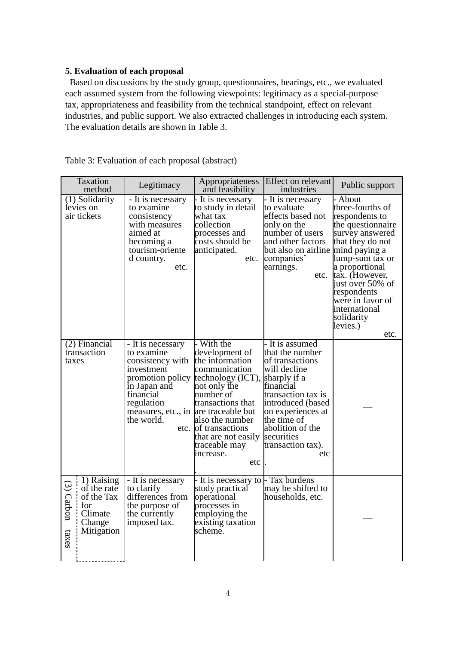# **5. Evaluation of each proposal**

Based on discussions by the study group, questionnaires, hearings, etc., we evaluated each assumed system from the following viewpoints: legitimacy as a special-purpose tax, appropriateness and feasibility from the technical standpoint, effect on relevant industries, and public support. We also extracted challenges in introducing each system. The evaluation details are shown in Table 3.

| Taxation<br>method                    |                                                                                   | Legitimacy                                                                                                                                                                             | Appropriateness<br>and feasibility                                                                                                                                                                                                           | Effect on relevant<br>industries                                                                                                                                                                                                                | Public support                                                                                                                                                                                                                                                                              |
|---------------------------------------|-----------------------------------------------------------------------------------|----------------------------------------------------------------------------------------------------------------------------------------------------------------------------------------|----------------------------------------------------------------------------------------------------------------------------------------------------------------------------------------------------------------------------------------------|-------------------------------------------------------------------------------------------------------------------------------------------------------------------------------------------------------------------------------------------------|---------------------------------------------------------------------------------------------------------------------------------------------------------------------------------------------------------------------------------------------------------------------------------------------|
|                                       | (1) Solidarity<br>levies on<br>air tickets                                        | - It is necessary<br>to examine<br>consistency<br>with measures<br>aimed at<br>becoming a<br>tourism-oriente<br>d country.<br>etc.                                                     | - It is necessary<br>to study in detail<br>what tax<br>collection<br>processes and<br>costs should be<br>anticipated.<br>etc.                                                                                                                | - It is necessary<br>to evaluate<br>effects based not<br>only on the<br>number of users<br>and other factors<br>but also on airline<br>companies'<br>earnings.<br>etc.                                                                          | - About<br>three-fourths of<br>respondents to<br>the questionnaire<br>survey answered<br>that they do not<br>mind paying a<br>lump-sum tax or<br>a proportional<br>tax. (However,<br>just over 50% of<br>respondents<br>were in favor of<br>international<br>solidarity<br>levies.)<br>etc. |
| (2) Financial<br>transaction<br>taxes |                                                                                   | - It is necessary<br>to examine<br>consistency with<br>investment<br>promotion policy<br>in Japan and<br>financial<br>regulation<br>measures, etc., in are traceable but<br>the world. | With the<br>development of<br>the information<br>communication<br>technology (ICT),<br>not only the<br>number of<br>transactions that<br>also the number<br>etc. of transactions<br>that are not easily<br>traceable may<br>increase.<br>etc | - It is assumed<br>that the number<br>of transactions<br>will decline<br>sharply if a<br>financial<br>transaction tax is<br>introduced (based<br>on experiences at<br>the time of<br>abolition of the<br>securities<br>transaction tax).<br>etc |                                                                                                                                                                                                                                                                                             |
| $(3)$ Carbon<br>taxes                 | 1) Raising<br>of the rate<br>of the Tax<br>for<br>Climate<br>Change<br>Mitigation | - It is necessary<br>to clarify<br>differences from<br>the purpose of<br>the currently<br>imposed tax.                                                                                 | - It is necessary to<br>study practical<br>operational<br>processes in<br>employing the<br>existing taxation<br>scheme.                                                                                                                      | - Tax burdens<br>may be shifted to<br>households, etc.                                                                                                                                                                                          |                                                                                                                                                                                                                                                                                             |

Table 3: Evaluation of each proposal (abstract)